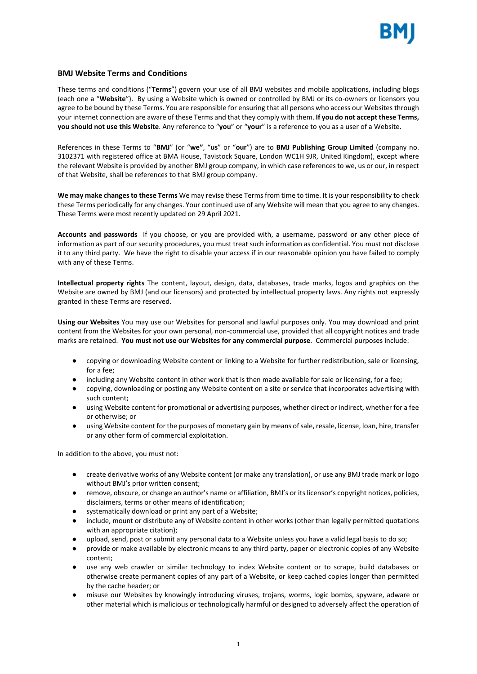

## **BMJ Website Terms and Conditions**

These terms and conditions ("**Terms**") govern your use of all BMJ websites and mobile applications, including blogs (each one a "**Website**"). By using a Website which is owned or controlled by BMJ or its co-owners or licensors you agree to be bound by these Terms. You are responsible for ensuring that all persons who access our Websites through your internet connection are aware of these Terms and that they comply with them. **If you do not accept these Terms, you should not use this Website**. Any reference to "**you**" or "**your**" is a reference to you as a user of a Website.

References in these Terms to "**BMJ**" (or "**we"**, "**us**" or "**our**") are to **BMJ Publishing Group Limited** (company no. 3102371 with registered office at BMA House, Tavistock Square, London WC1H 9JR, United Kingdom), except where the relevant Website is provided by another BMJ group company, in which case references to we, us or our, in respect of that Website, shall be references to that BMJ group company.

**We may make changes to these Terms** We may revise these Terms from time to time. It is your responsibility to check these Terms periodically for any changes. Your continued use of any Website will mean that you agree to any changes. These Terms were most recently updated on 29 April 2021.

**Accounts and passwords** If you choose, or you are provided with, a username, password or any other piece of information as part of our security procedures, you must treat such information as confidential. You must not disclose it to any third party. We have the right to disable your access if in our reasonable opinion you have failed to comply with any of these Terms.

**Intellectual property rights** The content, layout, design, data, databases, trade marks, logos and graphics on the Website are owned by BMJ (and our licensors) and protected by intellectual property laws. Any rights not expressly granted in these Terms are reserved.

**Using our Websites** You may use our Websites for personal and lawful purposes only. You may download and print content from the Websites for your own personal, non-commercial use, provided that all copyright notices and trade marks are retained. **You must not use our Websites for any commercial purpose**. Commercial purposes include:

- copying or downloading Website content or linking to a Website for further redistribution, sale or licensing, for a fee;
- including any Website content in other work that is then made available for sale or licensing, for a fee;
- copying, downloading or posting any Website content on a site or service that incorporates advertising with such content;
- using Website content for promotional or advertising purposes, whether direct or indirect, whether for a fee or otherwise; or
- using Website content for the purposes of monetary gain by means of sale, resale, license, loan, hire, transfer or any other form of commercial exploitation.

In addition to the above, you must not:

- create derivative works of any Website content (or make any translation), or use any BMJ trade mark or logo without BMJ's prior written consent;
- remove, obscure, or change an author's name or affiliation, BMJ's or its licensor's copyright notices, policies, disclaimers, terms or other means of identification;
- systematically download or print any part of a Website;
- include, mount or distribute any of Website content in other works (other than legally permitted quotations with an appropriate citation);
- upload, send, post or submit any personal data to a Website unless you have a valid legal basis to do so;
- provide or make available by electronic means to any third party, paper or electronic copies of any Website content;
- use any web crawler or similar technology to index Website content or to scrape, build databases or otherwise create permanent copies of any part of a Website, or keep cached copies longer than permitted by the cache header; or
- misuse our Websites by knowingly introducing viruses, trojans, worms, logic bombs, spyware, adware or other material which is malicious or technologically harmful or designed to adversely affect the operation of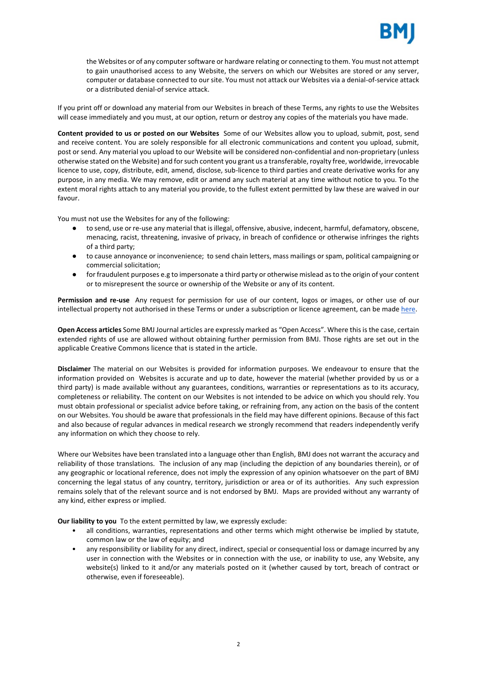

the Websites or of any computer software or hardware relating or connecting to them. You must not attempt to gain unauthorised access to any Website, the servers on which our Websites are stored or any server, computer or database connected to our site. You must not attack our Websites via a denial-of-service attack or a distributed denial-of service attack.

If you print off or download any material from our Websites in breach of these Terms, any rights to use the Websites will cease immediately and you must, at our option, return or destroy any copies of the materials you have made.

**Content provided to us or posted on our Websites** Some of our Websites allow you to upload, submit, post, send and receive content. You are solely responsible for all electronic communications and content you upload, submit, post or send. Any material you upload to our Website will be considered non-confidential and non-proprietary (unless otherwise stated on the Website) and for such content you grant us a transferable, royalty free, worldwide, irrevocable licence to use, copy, distribute, edit, amend, disclose, sub-licence to third parties and create derivative works for any purpose, in any media. We may remove, edit or amend any such material at any time without notice to you. To the extent moral rights attach to any material you provide, to the fullest extent permitted by law these are waived in our favour.

You must not use the Websites for any of the following:

- to send, use or re-use any material that is illegal, offensive, abusive, indecent, harmful, defamatory, obscene, menacing, racist, threatening, invasive of privacy, in breach of confidence or otherwise infringes the rights of a third party;
- to cause annoyance or inconvenience; to send chain letters, mass mailings or spam, political campaigning or commercial solicitation;
- for fraudulent purposes e.g to impersonate a third party or otherwise mislead as to the origin of your content or to misrepresent the source or ownership of the Website or any of its content.

**Permission and re-use** Any request for permission for use of our content, logos or images, or other use of our intellectual property not authorised in these Terms or under a subscription or licence agreement, can be made [here.](https://www.bmj.com/company/products-services/rights-and-licensing/)

**Open Access articles** Some BMJ Journal articles are expressly marked as "Open Access". Where this is the case, certain extended rights of use are allowed without obtaining further permission from BMJ. Those rights are set out in the applicabl[e Creative Commons](https://creativecommons.org/licenses/) licence that is stated in the article.

**Disclaimer** The material on our Websites is provided for information purposes. We endeavour to ensure that the information provided on Websites is accurate and up to date, however the material (whether provided by us or a third party) is made available without any guarantees, conditions, warranties or representations as to its accuracy, completeness or reliability. The content on our Websites is not intended to be advice on which you should rely. You must obtain professional or specialist advice before taking, or refraining from, any action on the basis of the content on our Websites. You should be aware that professionals in the field may have different opinions. Because of this fact and also because of regular advances in medical research we strongly recommend that readers independently verify any information on which they choose to rely.

Where our Websites have been translated into a language other than English, BMJ does not warrant the accuracy and reliability of those translations. The inclusion of any map (including the depiction of any boundaries therein), or of any geographic or locational reference, does not imply the expression of any opinion whatsoever on the part of BMJ concerning the legal status of any country, territory, jurisdiction or area or of its authorities. Any such expression remains solely that of the relevant source and is not endorsed by BMJ. Maps are provided without any warranty of any kind, either express or implied.

**Our liability to you** To the extent permitted by law, we expressly exclude:

- all conditions, warranties, representations and other terms which might otherwise be implied by statute, common law or the law of equity; and
- any responsibility or liability for any direct, indirect, special or consequential loss or damage incurred by any user in connection with the Websites or in connection with the use, or inability to use, any Website, any website(s) linked to it and/or any materials posted on it (whether caused by tort, breach of contract or otherwise, even if foreseeable).